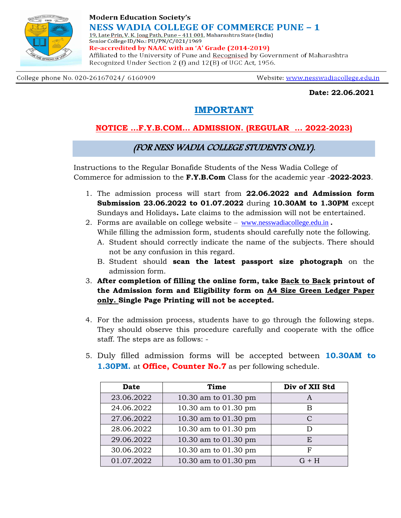

### **Modern Education Society's NESS WADIA COLLEGE OF COMMERCE PUNE – 1** 19, Late Prin, V. K. Joag Path, Pune - 411 001. Maharashtra State (India)

Senior College ID/No.: PU/PN/C/021/1969 Re-accredited by NAAC with an 'A' Grade (2014-2019) Affiliated to the University of Pune and Recognised by Government of Maharashtra Recognized Under Section 2 (f) and 12(B) of UGC Act, 1956.

College phone No. 020-26167024/ 6160909

Website: www.nesswadiacollege.edu.in

**Date: 22.06.2021**

## **IMPORTANT**

## **NOTICE …F.Y.B.COM… ADMISSION. (REGULAR ... 2022-2023)**

### (FOR NESS WADIA COLLEGE STUDENTS ONLY).

Instructions to the Regular Bonafide Students of the Ness Wadia College of Commerce for admission to the **F.Y.B.Com** Class for the academic year -**2022-2023**.

- 1. The admission process will start from **22.06.2022 and Admission form Submission 23.06.2022 to 01.07.2022** during **10.30AM to 1.30PM** except Sundays and Holidays**.** Late claims to the admission will not be entertained.
- 2. Forms are available on college website [www.nesswadiacollege.edu.in](http://www.nesswadiacollege.edu.in/) **.** While filling the admission form, students should carefully note the following.
	- A. Student should correctly indicate the name of the subjects. There should not be any confusion in this regard.
	- B. Student should **scan the latest passport size photograph** on the admission form.
- 3. **After completion of filling the online form, take Back to Back printout of the Admission form and Eligibility form on A4 Size Green Ledger Paper only. Single Page Printing will not be accepted.**
- 4. For the admission process, students have to go through the following steps. They should observe this procedure carefully and cooperate with the office staff. The steps are as follows: -
- 5. Duly filled admission forms will be accepted between **10.30AM to 1.30PM.** at **Office, Counter No.7** as per following schedule.

| <b>Date</b> | Time                 | Div of XII Std |
|-------------|----------------------|----------------|
| 23.06.2022  | 10.30 am to 01.30 pm | A              |
| 24.06.2022  | 10.30 am to 01.30 pm | R              |
| 27.06.2022  | 10.30 am to 01.30 pm | C              |
| 28.06.2022  | 10.30 am to 01.30 pm |                |
| 29.06.2022  | 10.30 am to 01.30 pm | E.             |
| 30.06.2022  | 10.30 am to 01.30 pm | F              |
| 01.07.2022  | 10.30 am to 01.30 pm | $G + H$        |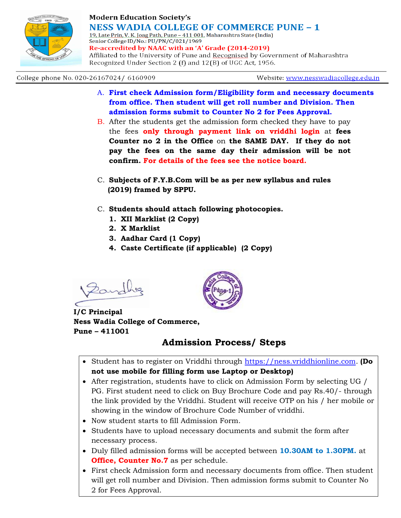

### **Modern Education Society's NESS WADIA COLLEGE OF COMMERCE PUNE – 1** 19, Late Prin, V. K. Joag Path, Pune - 411 001. Maharashtra State (India)

Senior College ID/No.: PU/PN/C/021/1969 Re-accredited by NAAC with an 'A' Grade (2014-2019)

Affiliated to the University of Pune and Recognised by Government of Maharashtra Recognized Under Section 2 (f) and 12(B) of UGC Act, 1956.

#### College phone No. 020-26167024/ 6160909

Website: www.nesswadiacollege.edu.in

- A. **First check Admission form/Eligibility form and necessary documents from office. Then student will get roll number and Division. Then admission forms submit to Counter No 2 for Fees Approval.**
- B. After the students get the admission form checked they have to pay the fees **only through payment link on vriddhi login** at **fees Counter no 2 in the Office** on **the SAME DAY. If they do not pay the fees on the same day their admission will be not confirm. For details of the fees see the notice board.**
- C. **Subjects of F.Y.B.Com will be as per new syllabus and rules (2019) framed by SPPU.**
- C. **Students should attach following photocopies.**
	- **1. XII Marklist (2 Copy)**
	- **2. X Marklist**
	- **3. Aadhar Card (1 Copy)**
	- **4. Caste Certificate (if applicable) (2 Copy)**

Dand

**I/C Principal Ness Wadia College of Commerce, Pune – 411001**

# **Admission Process/ Steps**

- Student has to register on Vriddhi through [https://ness.vriddhionline.com.](https://ness.vriddhionline.com/) **(Do not use mobile for filling form use Laptop or Desktop)**
- After registration, students have to click on Admission Form by selecting UG / PG. First student need to click on Buy Brochure Code and pay Rs.40/- through the link provided by the Vriddhi. Student will receive OTP on his / her mobile or showing in the window of Brochure Code Number of vriddhi.
- Now student starts to fill Admission Form.
- Students have to upload necessary documents and submit the form after necessary process.
- Duly filled admission forms will be accepted between **10.30AM to 1.30PM.** at **Office, Counter No.7** as per schedule.
- First check Admission form and necessary documents from office. Then student will get roll number and Division. Then admission forms submit to Counter No 2 for Fees Approval.